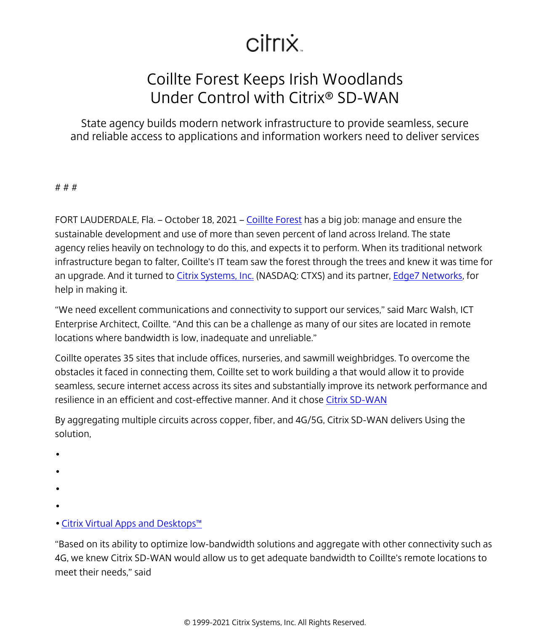## citrix.

## Coillte Forest Keeps Irish Woodlands Under Control with Citrix® SD-WAN

State agency builds modern network infrastructure to provide seamless, secure and reliable access to applications and information workers need to deliver services

## # # #

FORT LAUDERDALE, Fla. – October 18, 2021 – [Coillte Forest](https://www.citrix.com/blogs/2021/09/23/how-citrix-sd-wan-helps-coillte-forest-manage-irish-woodlands/) has a big job: manage and ensure the sustainable development and use of more than seven percent of land across Ireland. The state agency relies heavily on technology to do this, and expects it to perform. When its traditional network infrastructure began to falter, Coillte's IT team saw the forest through the trees and knew it was time for an upgrade. And it turned to [Citrix Systems, Inc.](/content/citrix/es-es/
            .html) (NASDAQ: CTXS) and its partner, [Edge7 Networks,](https://www.edge7networks.com/) for help in making it.

"We need excellent communications and connectivity to support our services," said Marc Walsh, ICT Enterprise Architect, Coillte. "And this can be a challenge as many of our sites are located in remote locations where bandwidth is low, inadequate and unreliable."

Coillte operates 35 sites that include offices, nurseries, and sawmill weighbridges. To overcome the obstacles it faced in connecting them, Coillte set to work building a that would allow it to provide seamless, secure internet access across its sites and substantially improve its network performance and resilience in an efficient and cost-effective manner. And it chose [Citrix SD-WAN](/content/citrix/es-es/networking/improve-app-performance.html)

By aggregating multiple circuits across copper, fiber, and 4G/5G, Citrix SD-WAN delivers Using the solution,

- •
- •
- 
- •
- •
- [Citrix Virtual Apps and Desktops™](https://www.citrix.com/products/citrix-virtual-apps-and-desktops/)

"Based on its ability to optimize low-bandwidth solutions and aggregate with other connectivity such as 4G, we knew Citrix SD-WAN would allow us to get adequate bandwidth to Coillte's remote locations to meet their needs," said